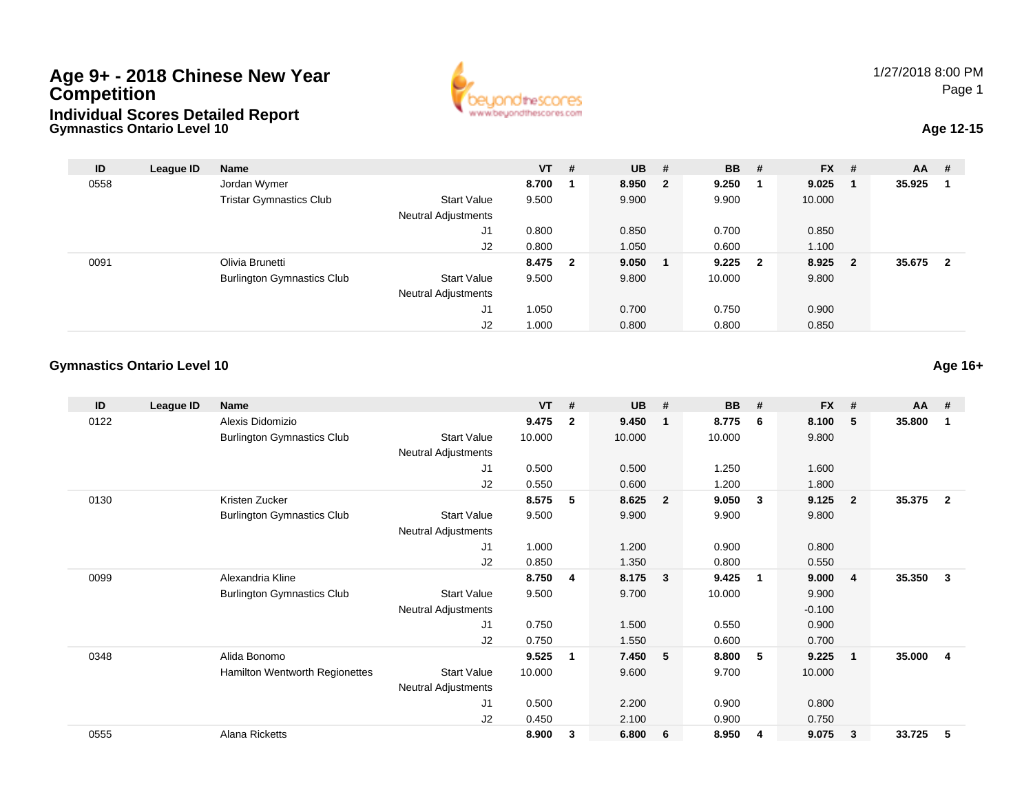## **Gymnastics Ontario Level 10Age 9+ - 2018 Chinese New Year CompetitionIndividual Scores Detailed Report**



## **Age 12-15**

| ID   | League ID | <b>Name</b>                       |                            | $VT$ #  | $UB$ #  | <b>BB</b> | #                       | <b>FX</b> | #                       | <b>AA</b> | #  |
|------|-----------|-----------------------------------|----------------------------|---------|---------|-----------|-------------------------|-----------|-------------------------|-----------|----|
| 0558 |           | Jordan Wymer                      |                            | 8.700   | 8.950 2 | 9.250     |                         | 9.025     | -1                      | 35.925    |    |
|      |           | <b>Tristar Gymnastics Club</b>    | <b>Start Value</b>         | 9.500   | 9.900   | 9.900     |                         | 10.000    |                         |           |    |
|      |           |                                   | <b>Neutral Adjustments</b> |         |         |           |                         |           |                         |           |    |
|      |           |                                   | J1                         | 0.800   | 0.850   | 0.700     |                         | 0.850     |                         |           |    |
|      |           |                                   | J2                         | 0.800   | 1.050   | 0.600     |                         | 1.100     |                         |           |    |
| 0091 |           | Olivia Brunetti                   |                            | 8.475 2 | 9.050   | 9.225     | $\overline{\mathbf{2}}$ | 8.925     | $\overline{\mathbf{2}}$ | 35.675    | -2 |
|      |           | <b>Burlington Gymnastics Club</b> | <b>Start Value</b>         | 9.500   | 9.800   | 10.000    |                         | 9.800     |                         |           |    |
|      |           |                                   | Neutral Adjustments        |         |         |           |                         |           |                         |           |    |
|      |           |                                   | J1                         | 1.050   | 0.700   | 0.750     |                         | 0.900     |                         |           |    |
|      |           |                                   | J2                         | 1.000   | 0.800   | 0.800     |                         | 0.850     |                         |           |    |

## **Gymnastics Ontario Level 10Age 16+**

| ID   | League ID | <b>Name</b>                       |                            | <b>VT</b> | #            | <b>UB</b> | #                       | <b>BB</b> | #            | <b>FX</b> | #              | <b>AA</b> | #            |
|------|-----------|-----------------------------------|----------------------------|-----------|--------------|-----------|-------------------------|-----------|--------------|-----------|----------------|-----------|--------------|
| 0122 |           | Alexis Didomizio                  |                            | 9.475     | $\mathbf{2}$ | 9.450     | $\overline{\mathbf{1}}$ | 8.775     | -6           | 8.100     | 5              | 35.800    |              |
|      |           | <b>Burlington Gymnastics Club</b> | <b>Start Value</b>         | 10.000    |              | 10.000    |                         | 10.000    |              | 9.800     |                |           |              |
|      |           |                                   | <b>Neutral Adjustments</b> |           |              |           |                         |           |              |           |                |           |              |
|      |           |                                   | J1                         | 0.500     |              | 0.500     |                         | 1.250     |              | 1.600     |                |           |              |
|      |           |                                   | J2                         | 0.550     |              | 0.600     |                         | 1.200     |              | 1.800     |                |           |              |
| 0130 |           | Kristen Zucker                    |                            | 8.575     | 5            | 8.625     | $\overline{2}$          | 9.050     | $\mathbf{3}$ | 9.125     | $\overline{2}$ | 35.375    | $\mathbf{2}$ |
|      |           | <b>Burlington Gymnastics Club</b> | <b>Start Value</b>         | 9.500     |              | 9.900     |                         | 9.900     |              | 9.800     |                |           |              |
|      |           |                                   | <b>Neutral Adjustments</b> |           |              |           |                         |           |              |           |                |           |              |
|      |           |                                   | J1                         | 1.000     |              | 1.200     |                         | 0.900     |              | 0.800     |                |           |              |
|      |           |                                   | J <sub>2</sub>             | 0.850     |              | 1.350     |                         | 0.800     |              | 0.550     |                |           |              |
| 0099 |           | Alexandria Kline                  |                            | 8.750     | 4            | 8.175     | $\mathbf{3}$            | 9.425     | -1           | 9.000     | $\overline{4}$ | 35.350    | 3            |
|      |           | <b>Burlington Gymnastics Club</b> | <b>Start Value</b>         | 9.500     |              | 9.700     |                         | 10.000    |              | 9.900     |                |           |              |
|      |           |                                   | Neutral Adjustments        |           |              |           |                         |           |              | $-0.100$  |                |           |              |
|      |           |                                   | J <sub>1</sub>             | 0.750     |              | 1.500     |                         | 0.550     |              | 0.900     |                |           |              |
|      |           |                                   | J2                         | 0.750     |              | 1.550     |                         | 0.600     |              | 0.700     |                |           |              |
| 0348 |           | Alida Bonomo                      |                            | 9.525     | 1            | 7.450     | 5 <sup>5</sup>          | 8.800     | 5            | 9.225     | $\mathbf{1}$   | 35.000    | 4            |
|      |           | Hamilton Wentworth Regionettes    | <b>Start Value</b>         | 10.000    |              | 9.600     |                         | 9.700     |              | 10.000    |                |           |              |
|      |           |                                   | <b>Neutral Adjustments</b> |           |              |           |                         |           |              |           |                |           |              |
|      |           |                                   | J1                         | 0.500     |              | 2.200     |                         | 0.900     |              | 0.800     |                |           |              |
|      |           |                                   | J <sub>2</sub>             | 0.450     |              | 2.100     |                         | 0.900     |              | 0.750     |                |           |              |
| 0555 |           | Alana Ricketts                    |                            | 8.900     | 3            | 6.800     | 6                       | 8.950     | 4            | 9.075     | 3              | 33.725    | 5            |